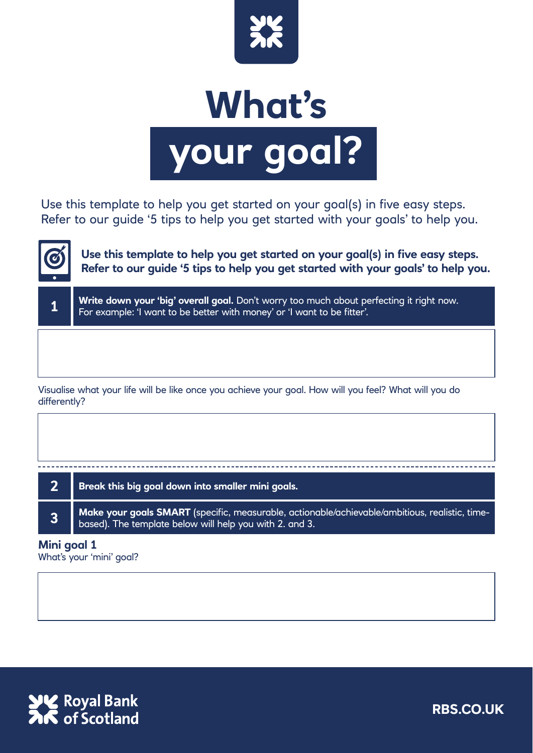

## **What's your goal?**

Use this template to help you get started on your goal(s) in five easy steps. Refer to our guide '5 tips to help you get started with your goals' to help you.



**1**

**Use this template to help you get started on your goal(s) in five easy steps. Refer to our guide '5 tips to help you get started with your goals' to help you.**

Write down your 'big' overall goal. Don't worry too much about perfecting it right now. For example: 'I want to be better with money' or 'I want to be fitter'.

Visualise what your life will be like once you achieve your goal. How will you feel? What will you do differently?

| Break this big goal down into smaller mini goals.<br>$\overline{\mathbf{3}}$ |  |                                                                                                |
|------------------------------------------------------------------------------|--|------------------------------------------------------------------------------------------------|
|                                                                              |  |                                                                                                |
|                                                                              |  | Make your goals SMART (specific, measurable, actionable/achievable/ambitious, realistic, time- |

## **Mini goal 1**

What's your 'mini' goal?



**RBS.CO.UK**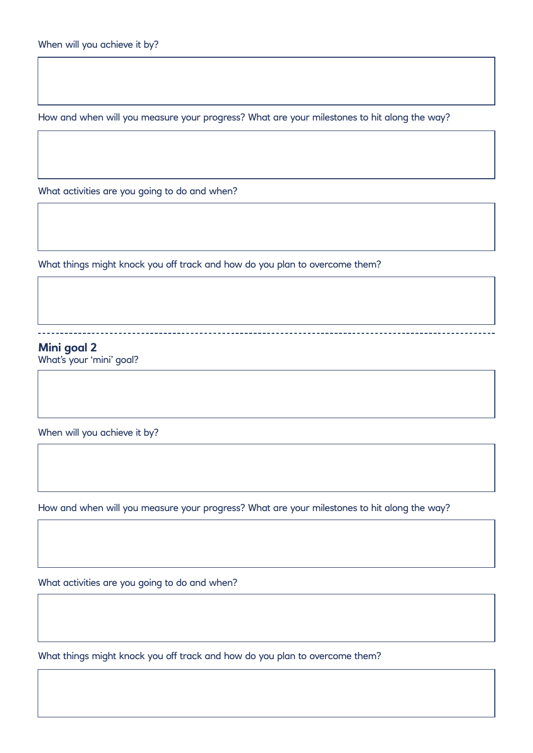How and when will you measure your progress? What are your milestones to hit along the way?

What activities are you going to do and when?

What things might knock you off track and how do you plan to overcome them?

**Mini goal 2** What's your 'mini' goal?

When will you achieve it by?

How and when will you measure your progress? What are your milestones to hit along the way?

What activities are you going to do and when?

What things might knock you off track and how do you plan to overcome them?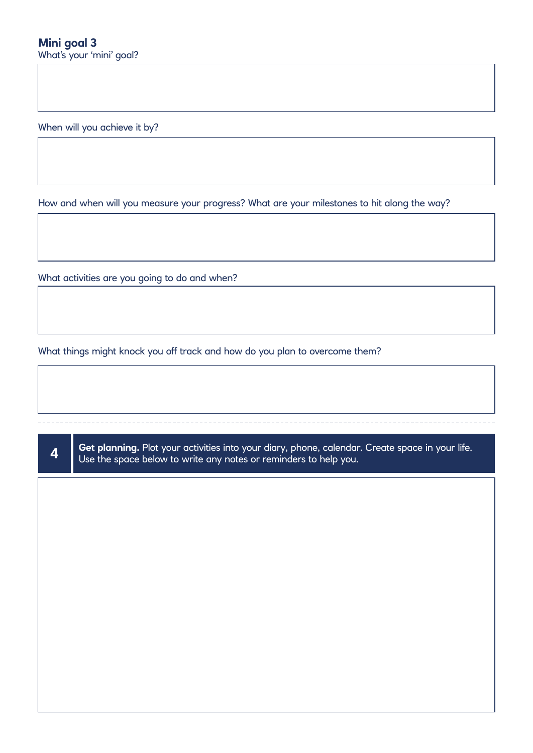When will you achieve it by?

How and when will you measure your progress? What are your milestones to hit along the way?

What activities are you going to do and when?

What things might knock you off track and how do you plan to overcome them?